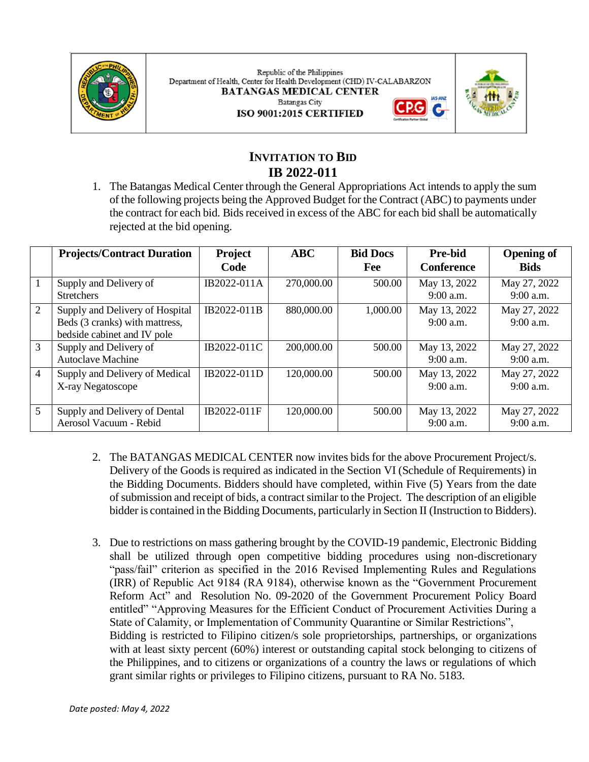

Republic of the Philippines Department of Health, Center for Health Development (CHD) IV-CALABARZON **BATANGAS MEDICAL CENTER Batangas City** ISO 9001:2015 CERTIFIED





# **INVITATION TO BID IB 2022-011**

1. The Batangas Medical Center through the General Appropriations Act intends to apply the sum of the following projects being the Approved Budget for the Contract (ABC) to payments under the contract for each bid. Bids received in excess of the ABC for each bid shall be automatically rejected at the bid opening.

|                | <b>Projects/Contract Duration</b>                                                                | Project<br>Code | ABC        | <b>Bid Docs</b><br>Fee | <b>Pre-bid</b><br><b>Conference</b> | <b>Opening of</b><br><b>Bids</b> |
|----------------|--------------------------------------------------------------------------------------------------|-----------------|------------|------------------------|-------------------------------------|----------------------------------|
|                | Supply and Delivery of<br><b>Stretchers</b>                                                      | IB2022-011A     | 270,000.00 | 500.00                 | May 13, 2022<br>$9:00$ a.m.         | May 27, 2022<br>9:00 a.m.        |
| 2              | Supply and Delivery of Hospital<br>Beds (3 cranks) with mattress,<br>bedside cabinet and IV pole | IB2022-011B     | 880,000.00 | 1,000.00               | May 13, 2022<br>$9:00$ a.m.         | May 27, 2022<br>$9:00$ a.m.      |
| 3              | Supply and Delivery of<br><b>Autoclave Machine</b>                                               | IB2022-011C     | 200,000.00 | 500.00                 | May 13, 2022<br>$9:00$ a.m.         | May 27, 2022<br>$9:00$ a.m.      |
| $\overline{4}$ | Supply and Delivery of Medical<br>X-ray Negatoscope                                              | IB2022-011D     | 120,000.00 | 500.00                 | May 13, 2022<br>$9:00$ a.m.         | May 27, 2022<br>$9:00$ a.m.      |
| 5              | Supply and Delivery of Dental<br>Aerosol Vacuum - Rebid                                          | IB2022-011F     | 120,000.00 | 500.00                 | May 13, 2022<br>9:00 a.m.           | May 27, 2022<br>9:00 a.m.        |

- 2. The BATANGAS MEDICAL CENTER now invites bids for the above Procurement Project/s. Delivery of the Goods is required as indicated in the Section VI (Schedule of Requirements) in the Bidding Documents. Bidders should have completed, within Five (5) Years from the date of submission and receipt of bids, a contract similar to the Project. The description of an eligible bidder is contained in the Bidding Documents, particularly in Section II (Instruction to Bidders).
- 3. Due to restrictions on mass gathering brought by the COVID-19 pandemic, Electronic Bidding shall be utilized through open competitive bidding procedures using non-discretionary "pass/fail" criterion as specified in the 2016 Revised Implementing Rules and Regulations (IRR) of Republic Act 9184 (RA 9184), otherwise known as the "Government Procurement Reform Act" and Resolution No. 09-2020 of the Government Procurement Policy Board entitled" "Approving Measures for the Efficient Conduct of Procurement Activities During a State of Calamity, or Implementation of Community Quarantine or Similar Restrictions", Bidding is restricted to Filipino citizen/s sole proprietorships, partnerships, or organizations with at least sixty percent (60%) interest or outstanding capital stock belonging to citizens of the Philippines, and to citizens or organizations of a country the laws or regulations of which grant similar rights or privileges to Filipino citizens, pursuant to RA No. 5183.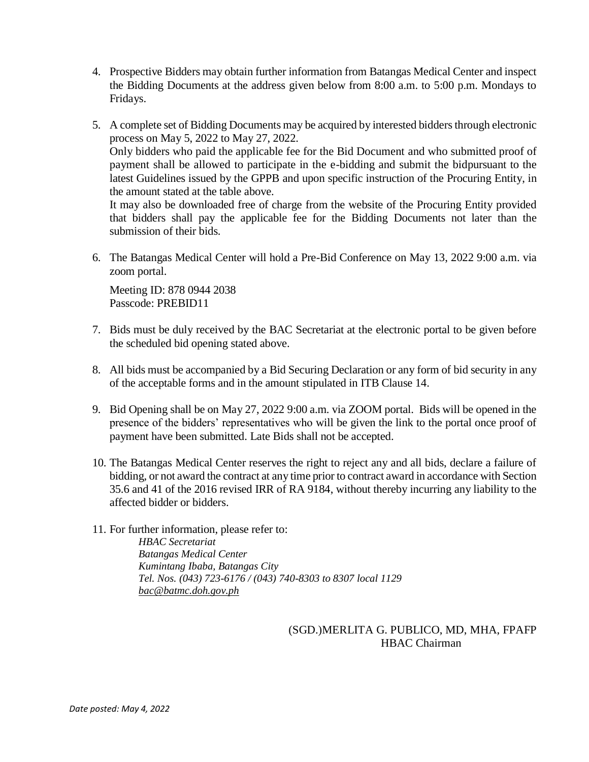- 4. Prospective Bidders may obtain further information from Batangas Medical Center and inspect the Bidding Documents at the address given below from 8:00 a.m. to 5:00 p.m. Mondays to Fridays.
- 5. A complete set of Bidding Documents may be acquired by interested bidders through electronic process on May 5, 2022 to May 27, 2022. Only bidders who paid the applicable fee for the Bid Document and who submitted proof of payment shall be allowed to participate in the e-bidding and submit the bidpursuant to the latest Guidelines issued by the GPPB and upon specific instruction of the Procuring Entity, in the amount stated at the table above. It may also be downloaded free of charge from the website of the Procuring Entity provided

that bidders shall pay the applicable fee for the Bidding Documents not later than the submission of their bids.

6. The Batangas Medical Center will hold a Pre-Bid Conference on May 13, 2022 9:00 a.m. via zoom portal.

Meeting ID: 878 0944 2038 Passcode: PREBID11

- 7. Bids must be duly received by the BAC Secretariat at the electronic portal to be given before the scheduled bid opening stated above.
- 8. All bids must be accompanied by a Bid Securing Declaration or any form of bid security in any of the acceptable forms and in the amount stipulated in ITB Clause 14.
- 9. Bid Opening shall be on May 27, 2022 9:00 a.m. via ZOOM portal. Bids will be opened in the presence of the bidders' representatives who will be given the link to the portal once proof of payment have been submitted. Late Bids shall not be accepted.
- 10. The Batangas Medical Center reserves the right to reject any and all bids, declare a failure of bidding, or not award the contract at any time prior to contract award in accordance with Section 35.6 and 41 of the 2016 revised IRR of RA 9184, without thereby incurring any liability to the affected bidder or bidders.
- 11. For further information, please refer to: *HBAC Secretariat Batangas Medical Center Kumintang Ibaba, Batangas City Tel. Nos. (043) 723-6176 / (043) 740-8303 to 8307 local 1129 [bac@batmc.doh.gov.ph](mailto:bac@batmc.doh.gov.ph)*

(SGD.)MERLITA G. PUBLICO, MD, MHA, FPAFP HBAC Chairman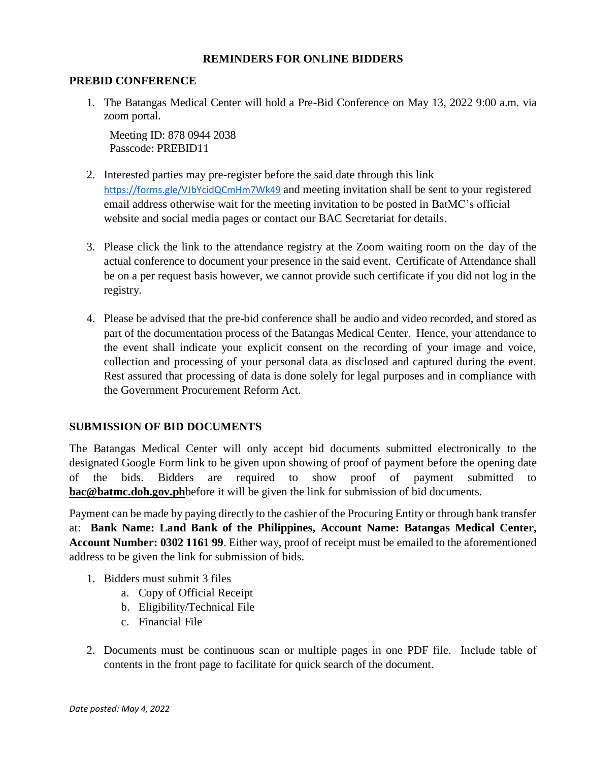### **REMINDERS FOR ONLINE BIDDERS**

#### **PREBID CONFERENCE**

1. The Batangas Medical Center will hold a Pre-Bid Conference on May 13, 2022 9:00 a.m. via zoom portal.

Meeting ID: 878 0944 2038 Passcode: PREBID11

- 2. Interested parties may pre-register before the said date through this link <https://forms.gle/VJbYcidQCmHm7Wk49> and meeting invitation shall be sent to your registered email address otherwise wait for the meeting invitation to be posted in BatMC's official website and social media pages or contact our BAC Secretariat for details.
- 3. Please click the link to the attendance registry at the Zoom waiting room on the day of the actual conference to document your presence in the said event. Certificate of Attendance shall be on a per request basis however, we cannot provide such certificate if you did not log in the registry.
- 4. Please be advised that the pre-bid conference shall be audio and video recorded, and stored as part of the documentation process of the Batangas Medical Center. Hence, your attendance to the event shall indicate your explicit consent on the recording of your image and voice, collection and processing of your personal data as disclosed and captured during the event. Rest assured that processing of data is done solely for legal purposes and in compliance with the Government Procurement Reform Act.

## **SUBMISSION OF BID DOCUMENTS**

The Batangas Medical Center will only accept bid documents submitted electronically to the designated Google Form link to be given upon showing of proof of payment before the opening date of the bids. Bidders are required to show proof of payment submitted to **[bac@batmc.doh.gov.ph](mailto:bac@batmc.doh.gov.ph)**before it will be given the link for submission of bid documents.

Payment can be made by paying directly to the cashier of the Procuring Entity or through bank transfer at: **Bank Name: Land Bank of the Philippines, Account Name: Batangas Medical Center, Account Number: 0302 1161 99**. Either way, proof of receipt must be emailed to the aforementioned address to be given the link for submission of bids.

- 1. Bidders must submit 3 files
	- a. Copy of Official Receipt
	- b. Eligibility/Technical File
	- c. Financial File
- 2. Documents must be continuous scan or multiple pages in one PDF file. Include table of contents in the front page to facilitate for quick search of the document.